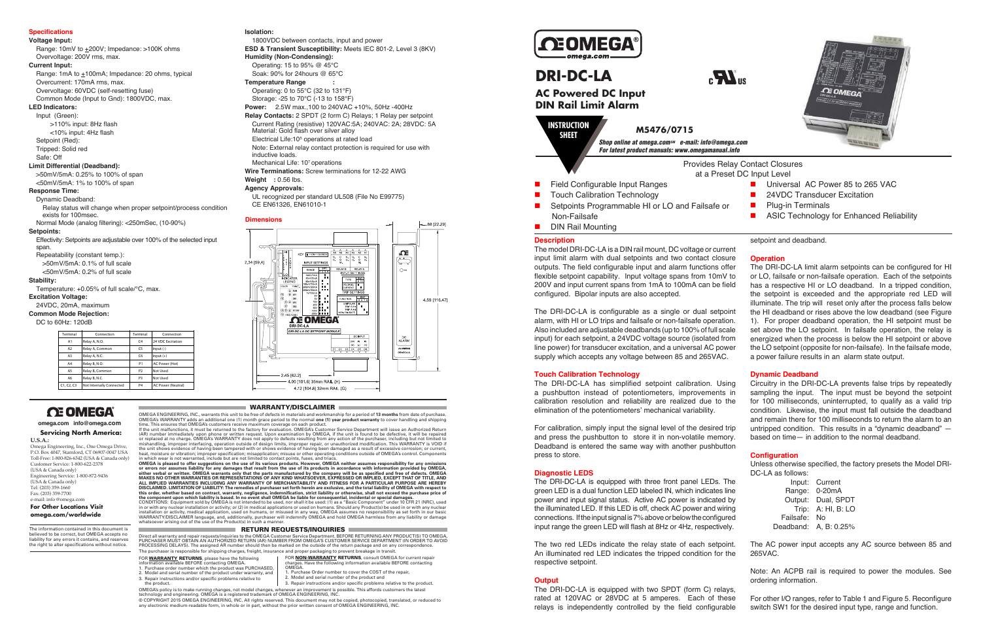### **Specifications**

### **Voltage Input:**

Range:  $10mV$  to  $\pm 200V$ ; Impedance:  $>100K$  ohms Overvoltage: 200V rms, max.

### **Current Input:**

Range: 1mA to  $\pm$ 100mA; Impedance: 20 ohms, typical Overcurrent: 170mA rms, max. Overvoltage: 60VDC (self-resetting fuse)

Common Mode (Input to Gnd): 1800VDC, max. **LED Indicators:**

### Input (Green):

Effectivity: Setpoints are adjustable over 100% of the selected input span.

 >110% input: 8Hz flash <10% input: 4Hz flash Setpoint (Red): Tripped: Solid red Safe: Off

### **Limit Differential (Deadband):**

>50mV/5mA: 0.25% to 100% of span <50mV/5mA: 1% to 100% of span

### **Response Time:**

Dynamic Deadband: Relay status will change when proper setpoint/process condition

exists for 100msec. Normal Mode (analog filtering): <250mSec, (10-90%)

**Setpoints:**

Repeatability (constant temp.):

>50mV/5mA: 0.1% of full scale

<50mV/5mA: 0.2% of full scale

### **Stability:**

Temperature: +0.05% of full scale/°C, max.

### **Excitation Voltage:**

24VDC, 20mA, maximum

### **Common Mode Rejection:**

DC to 60Hz: 120dB

### **Isolation:**

1800VDC between contacts, input and power **ESD & Transient Susceptibility:** Meets IEC 801-2, Level 3 (8KV) **Humidity (Non-Condensing):** Operating: 15 to 95% @ 45°C

 Soak: 90% for 24hours @ 65°C **Temperature Range :**

Operating: 0 to 55°C (32 to 131°F) Storage: -25 to 70°C (-13 to 158°F)

## **OE OMEGA omega.com info@omega.com**

**Power:** 2.5W max.,100 to 240VAC +10%, 50Hz -400Hz

OMEGA ENGINEERING, INC., warrants this unit to be free of defects in materials and workmanship for a period of **13 months** from date of purchase. OMEGA's WARRANTY adds an additional one (1) month grace period to the normal **one (1) year product warranty** to cover handling and shipping<br>time. This ensures that OMEGA's customers receive maximum coverage on each product

- **Relay Contacts:** 2 SPDT (2 form C) Relays; 1 Relay per setpoint Current Rating (resistive) 120VAC:5A; 240VAC: 2A; 28VDC: 5A
- Material: Gold flash over silver alloy
- Electrical Life:10<sup>5</sup> operations at rated load
- Note: External relay contact protection is required for use with inductive loads.
- Mechanical Life: 107 operations
- **Wire Terminations:** Screw terminations for 12-22 AWG

(AR) number immediately upon phone or written request. Upon examination by OMEGA, if the unit is found to be defective, it will be repaired or replaced at no charge. OMEGA's WARRANTY does not apply to defects resulting from any action of the purchaser, including but not limited to<br>mishandling, improper interfacing, operation outside of design limits, improper

the unit shows evidence of having been tampered with or shows evidence of having been damaged as a result of excessive corrosion; or current, heat, moisture or vibration; in this mapplication; missapplication; missapplicat DISCLAIMED. LIMITATION OF LIABILITY: The remedies of purchaser set forth herein are exclusive, and the total liability of OMEGA with respect to<br>this order, whether based on contract, warranty, negligence, indemnification,

CONDITIONS: Equipment sold by OMEGA is not intended to be used, nor shall it be used: (1) as a "Basic Component" under 10 CFR 21 (NRC), used<br>in or with any nuclear installation or activity; or (2) in medical applications o Annouver a proceed in an anguage, and, additionary, parenaser with a statement of the use of the Product(s) in such a manner.

### RETURN REQUESTS/INQUIRIES

### **Weight :** 0.56 lbs.

### **Agency Approvals:**

 UL recognized per standard UL508 (File No E99775) CE EN61326, EN61010-1

| Terminal       | Connection               | Terminal       | Connection                |  |
|----------------|--------------------------|----------------|---------------------------|--|
| A1             | Relay A, N.O.            | C <sub>4</sub> | 24 VDC Excitation         |  |
| A <sub>2</sub> | Relay A, Common          | C <sub>5</sub> | $Input(-)$                |  |
| A3             | Relay A, N.C.            | C <sub>6</sub> | $Input (+)$               |  |
| A4             | Relay B, N.O.            | P <sub>1</sub> | AC Power (Hot)            |  |
| A <sub>5</sub> | Relay B, Common          | P <sub>2</sub> | Not Used                  |  |
| A6             | Relay B, N.C.            | P3             | Not Used                  |  |
| C1, C2, C3     | Not Internally Connected | <b>P4</b>      | <b>AC Power (Neutral)</b> |  |

## **Servicing North America:**

### **U.S.A.:**

Omega Engineering, Inc., One Omega Drive, P.O. Box 4047, Stamford, CT 06907-0047 USA Toll-Free: 1-800-826-6342 (USA & Canada only) Customer Service: 1-800-622-2378 (USA & Canada only) Engineering Service: 1-800-872-9436 (USA & Canada only) Tel: (203) 359-1660 Fax: (203) 359-7700 e-mail: info @omega.com

### **For Other Locations Visit omega.com/worldwide**

The information contained in this document is believed to be correct, but OMEGA accepts no liability for any errors it contains, and reserves the right to alter specifications without notice.

### FOR **WARRANTY RETURNS**, please have the following information available BEFORE contacting OMEGA.

FOR **<u>NON-WARRANTY</u> RETURNS**, consult OMEGA for current repair<br>charges. Have the following information available BEFORE contacting charges. Have th<br>OMEGA. 1. Purchase Order number to cover the COST of the repair,





- Touch Calibration Technology
- 
- Setpoints Programmable HI or LO and Failsafe or Non-Failsafe
- **DIN Rail Mounting**

Direct all warranty and repair requests/inquiries to the OMEGA Customer Service Department. BEFORE RETURNING ANY PRODUCT(S) TO OMEGA, PURCHASER MUST OBTAIN AN AUTHORIZED RETURN (AR) NUMBER FROM OMEGA'S CUSTOMER SERVICE DEPARTMENT (IN ORDER TO AVOID<br>PROCESSING DELAYS). The assigned AR number should then be marked on the outside of the return package and o The purchaser is responsible for shipping charges, freight, insurance and proper packaging to prevent breakage in transit.

- 1. Purchase order number which the product was PURCHASED, 2. Model and serial number of the product under warranty, and
- 3. Repair instructions and/or specific problems relative to
- 2. Model and serial number of the product and

the product. OMEGA's policy is to make running changes, not model changes, whenever an improvement is possible. This affords customers the latest<br>technology and engineering. OMEGA is a registered trademark of OMEGA ENGINEERING, INC. 3. Repair instructions and/or specific problems relative to the product.

© COPYRIGHT 2015 OMEGA ENGINEERING, INC. All rights reserved. This document may not be copied, photocopied, translated, or reduced to<br>any electronic medium-readable form, in whole or in part, without the prior written cons

# **DEOMEGA**

### **Dimensions**



WARRANTY/DISCLAIMER

### **Description**

### **Touch Calibration Technology**

Deadband is entered the same way with another pushbutton press to store.

### **Diagnostic LEDS**

The DRI-DC-LA is equipped with three front panel LEDs. The green LED is a dual function LED labeled IN, which indicates line power and input signal status. Active AC power is indicated by the illuminated LED. If this LED is off, check AC power and wiring connections. If the input signal is 7% above or below the configured input range the green LED will flash at 8Hz or 4Hz, respectively.

The model DRI-DC-LA is a DIN rail mount, DC voltage or current input limit alarm with dual setpoints and two contact closure outputs. The field configurable input and alarm functions offer flexible setpoint capability. Input voltage spans from 10mV to 200V and input current spans from 1mA to 100mA can be field configured. Bipolar inputs are also accepted. The DRI-DC-LA is configurable as a single or dual setpoint alarm, with HI or LO trips and failsafe or non-failsafe operation. Also included are adjustable deadbands (up to 100% of full scale input) for each setpoint, a 24VDC voltage source (isolated from line power) for transducer excitation, and a universal AC power supply which accepts any voltage between 85 and 265VAC. **Operation** The DRI-DC-LA limit alarm setpoints can be configured for HI or LO, failsafe or non-failsafe operation. Each of the setpoints has a respective HI or LO deadband. In a tripped condition, the setpoint is exceeded and the appropriate red LED will illuminate. The trip will reset only after the process falls below the HI deadband or rises above the low deadband (see Figure 1). For proper deadband operation, the HI setpoint must be set above the LO setpoint. In failsafe operation, the relay is energized when the process is below the HI setpoint or above the LO setpoint (opposite for non-failsafe). In the failsafe mode, a power failure results in an alarm state output.

The two red LEDs indicate the relay state of each setpoint. An illuminated red LED indicates the tripped condition for the respective setpoint.

### **Output**

The DRI-DC-LA is equipped with two SPDT (form C) relays, rated at 120VAC or 28VDC at 5 amperes. Each of these relays is independently controlled by the field configurable

The DRI-DC-LA has simplified setpoint calibration. Using a pushbutton instead of potentiometers, improvements in calibration resolution and reliability are realized due to the elimination of the potentiometers' mechanical variability. For calibration, simply input the signal level of the desired trip and press the pushbutton to store it in non-volatile memory. Circuitry in the DRI-DC-LA prevents false trips by repeatedly sampling the input. The input must be beyond the setpoint for 100 milliseconds, uninterrupted, to qualify as a valid trip condition. Likewise, the input must fall outside the deadband and remain there for 100 milliseconds to return the alarm to an untripped condition. This results in a "dynamic deadband" based on time— in addition to the normal deadband.

setpoint and deadband.

### **Dynamic Deadband**



### **Configuration**

Unless otherwise specified, the factory presets the Model DRI-DC-LA as follows:

| e |              | Input: Current           |  |  |
|---|--------------|--------------------------|--|--|
| e |              | Range: 0-20mA            |  |  |
| У |              | Output: Dual, SPDT       |  |  |
| g |              | Trip: $A: HI, B: LO$     |  |  |
| d | Failsafe: No |                          |  |  |
|   |              | Deadband: $A, B: 0.25\%$ |  |  |

The AC power input accepts any AC source between 85 and 265VAC.

Note: An ACPB rail is required to power the modules. See ordering information.

For other I/O ranges, refer to Table 1 and Figure 5. Reconfigure switch SW1 for the desired input type, range and function.

## **DRI-DC-LA**

# $_{c}$   $\boldsymbol{\Pi}^{\text{u}}$

## **AC Powered DC Input DIN Rail Limit Alarm**

Provides Relay Contact Closures

at a Preset DC Input Level

- Universal AC Power 85 to 265 VAC
- 24VDC Transducer Excitation
- Plug-in Terminals
- **ASIC Technology for Enhanced Reliability**